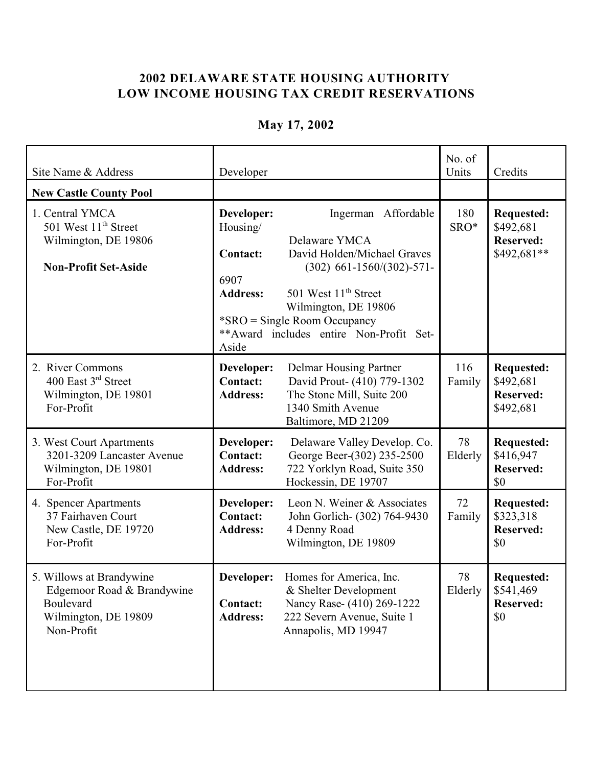## **2002 DELAWARE STATE HOUSING AUTHORITY LOW INCOME HOUSING TAX CREDIT RESERVATIONS**

| Site Name & Address                                                                                        | Developer                                                                     |                                                                                                                                                                                                                                            | No. of<br>Units | Credits                                                           |
|------------------------------------------------------------------------------------------------------------|-------------------------------------------------------------------------------|--------------------------------------------------------------------------------------------------------------------------------------------------------------------------------------------------------------------------------------------|-----------------|-------------------------------------------------------------------|
| <b>New Castle County Pool</b>                                                                              |                                                                               |                                                                                                                                                                                                                                            |                 |                                                                   |
| 1. Central YMCA<br>501 West 11 <sup>th</sup> Street<br>Wilmington, DE 19806<br><b>Non-Profit Set-Aside</b> | Developer:<br>Housing/<br><b>Contact:</b><br>6907<br><b>Address:</b><br>Aside | Ingerman Affordable<br>Delaware YMCA<br>David Holden/Michael Graves<br>$(302)$ 661-1560/(302)-571-<br>501 West 11 <sup>th</sup> Street<br>Wilmington, DE 19806<br>*SRO = Single Room Occupancy<br>** Award includes entire Non-Profit Set- | 180<br>SRO*     | <b>Requested:</b><br>\$492,681<br><b>Reserved:</b><br>\$492,681** |
| 2. River Commons<br>400 East 3rd Street<br>Wilmington, DE 19801<br>For-Profit                              | Developer:<br><b>Contact:</b><br><b>Address:</b>                              | Delmar Housing Partner<br>David Prout- (410) 779-1302<br>The Stone Mill, Suite 200<br>1340 Smith Avenue<br>Baltimore, MD 21209                                                                                                             | 116<br>Family   | <b>Requested:</b><br>\$492,681<br><b>Reserved:</b><br>\$492,681   |
| 3. West Court Apartments<br>3201-3209 Lancaster Avenue<br>Wilmington, DE 19801<br>For-Profit               | Developer:<br><b>Contact:</b><br><b>Address:</b>                              | Delaware Valley Develop. Co.<br>George Beer-(302) 235-2500<br>722 Yorklyn Road, Suite 350<br>Hockessin, DE 19707                                                                                                                           | 78<br>Elderly   | <b>Requested:</b><br>\$416,947<br><b>Reserved:</b><br>\$0         |
| 4. Spencer Apartments<br>37 Fairhaven Court<br>New Castle, DE 19720<br>For-Profit                          | Developer:<br><b>Contact:</b><br><b>Address:</b>                              | Leon N. Weiner & Associates<br>John Gorlich- (302) 764-9430<br>4 Denny Road<br>Wilmington, DE 19809                                                                                                                                        | 72<br>Family    | <b>Requested:</b><br>\$323,318<br><b>Reserved:</b><br>\$0         |
| 5. Willows at Brandywine<br>Edgemoor Road & Brandywine<br>Boulevard<br>Wilmington, DE 19809<br>Non-Profit  | <b>Contact:</b><br><b>Address:</b>                                            | <b>Developer:</b> Homes for America, Inc.<br>& Shelter Development<br>Nancy Rase- (410) 269-1222<br>222 Severn Avenue, Suite 1<br>Annapolis, MD 19947                                                                                      | 78<br>Elderly   | <b>Requested:</b><br>\$541,469<br><b>Reserved:</b><br>\$0         |

## **May 17, 2002**